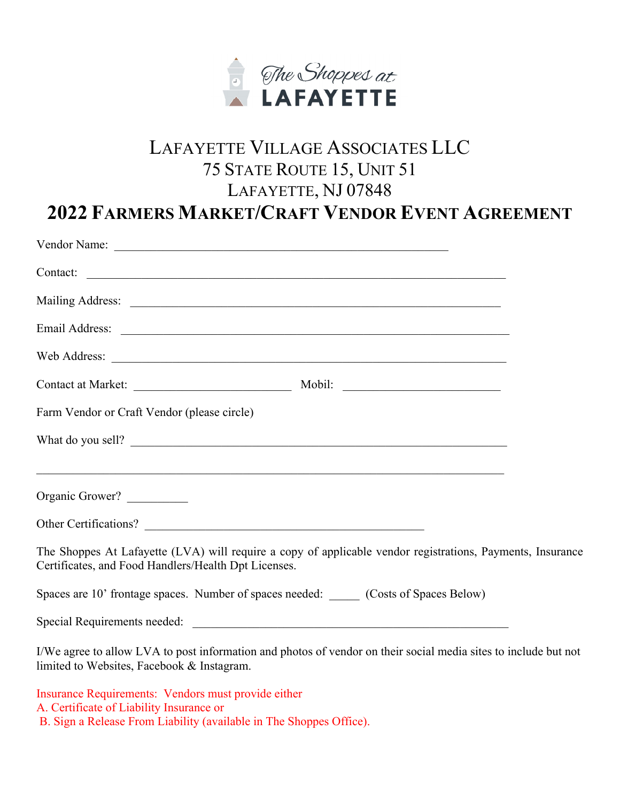

## LAFAYETTE VILLAGE ASSOCIATES LLC 75 STATE ROUTE 15, UNIT 51 LAFAYETTE, NJ 07848 **2022 FARMERS MARKET/CRAFT VENDOR EVENT AGREEMENT**

## Vendor Name: \_\_\_\_\_\_\_\_\_\_\_\_\_\_\_\_\_\_\_\_\_\_\_\_\_\_\_\_\_\_\_\_\_\_\_\_\_\_\_\_\_\_\_\_\_\_\_\_\_\_\_\_\_\_\_ Contact: Mailing Address: \_\_\_\_\_\_\_\_\_\_\_\_\_\_\_\_\_\_\_\_\_\_\_\_\_\_\_\_\_\_\_\_\_\_\_\_\_\_\_\_\_\_\_\_\_\_\_\_\_\_\_\_\_\_\_\_\_\_\_\_\_ Email Address: \_\_\_\_\_\_\_\_\_\_\_\_\_\_\_\_\_\_\_\_\_\_\_\_\_\_\_\_\_\_\_\_\_\_\_\_\_\_\_\_\_\_\_\_\_\_\_\_\_\_\_\_\_\_\_\_\_\_\_\_\_\_\_\_ Web Address: Contact at Market: \_\_\_\_\_\_\_\_\_\_\_\_\_\_\_\_\_\_\_\_\_\_\_\_\_\_ Mobil: \_\_\_\_\_\_\_\_\_\_\_\_\_\_\_\_\_\_\_\_\_\_\_\_\_\_ Farm Vendor or Craft Vendor (please circle) What do you sell? Organic Grower? Other Certifications? The Shoppes At Lafayette (LVA) will require a copy of applicable vendor registrations, Payments, Insurance Certificates, and Food Handlers/Health Dpt Licenses. Spaces are 10' frontage spaces. Number of spaces needed: \_\_\_\_\_ (Costs of Spaces Below) Special Requirements needed: \_\_\_\_\_\_\_\_\_\_\_\_\_\_\_\_\_\_\_\_\_\_\_\_\_\_\_\_\_\_\_\_\_\_\_\_\_\_\_\_\_\_\_\_\_\_\_\_\_\_\_\_ I/We agree to allow LVA to post information and photos of vendor on their social media sites to include but not limited to Websites, Facebook & Instagram.

Insurance Requirements: Vendors must provide either A. Certificate of Liability Insurance or B. Sign a Release From Liability (available in The Shoppes Office).